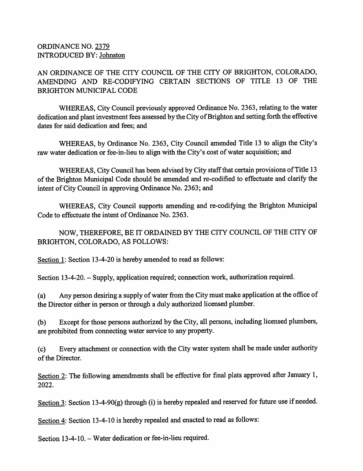## ORDINANCE NO. 2379 INTRODUCED BY: Johnston

AN ORDINANCE OF THE CITY COUNCIL OF THE CITY OF BRIGHTON, COLORADO, AMENDING AND RE-CODIFYING CERTAIN SECTIONS OF TITLE 13 OF THE BRIGHTON MUNICIPAL CODE

WHEREAS, City Council previously approved Ordinance No. 2363, relating to the water dedication and plant investment fees assessed by the City of Brighton and setting forth the effective dates for said dedication and fees; and

WHEREAS, by Ordinance No. 2363, City Council amended Title 13 to align the City's raw water dedication or fee-in-lieu to align with the City's cost of water acquisition; and

WHEREAS, City Council has been advised by City staff that certain provisions of Title 13 of the Brighton Municipal Code should be amended and re-codified to effectuate and clarify the intent of City Council in approving Ordinance No. 2363; and

WHEREAS, City Council supports amending and re-codifying the Brighton Municipal Code to effectuate the intent of Ordinance No. 2363.

NOW, THEREFORE, BE IT ORDAINED BY THE CITY COUNCIL OF THE CITY OF BRIGHTON, COLORADO, AS FOLLOWS:

Section 1: Section 13-4-20 is hereby amended to read as follows:

Section 13-4-20. - Supply, application required; connection work, authorization required.

Any person desiring a supply of water from the City must make application at the office of the Director either in person or through a duly authorized licensed plumber. (a)

Except for those persons authorized by the City, all persons, including licensed plumbers, are prohibited from connecting water service to any property. (b)

Every attachment or connection with the City water system shall be made under authority of the Director. (c)

Section 2: The following amendments shall be effective for final plats approved after January 1, 2022.

Section 3: Section 13-4-90(g) through (i) is hereby repealed and reserved for future use if needed.

Section 4: Section 13-4-10 is hereby repealed and enacted to read as follows:

Section 13-4-10. – Water dedication or fee-in-lieu required.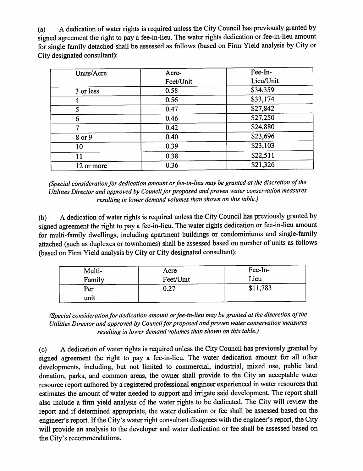A dedication of water rights is required unless the City Council has previously granted by signed agreement the right to pay a fee-in-lieu. The water rights dedication or fee-in-lieu amount for single family detached shall be assessed as follows (based on Firm Yield analysis by City or City designated consultant): (a)

| Units/Acre | Acre-     | Fee-In-   |
|------------|-----------|-----------|
|            | Feet/Unit | Lieu/Unit |
| 3 or less  | 0.58      | \$34,359  |
| 4          | 0.56      | \$33,174  |
| 5          | 0.47      | \$27,842  |
| 6          | 0.46      | \$27,250  |
| 7          | 0.42      | \$24,880  |
| 8 or 9     | 0.40      | \$23,696  |
| 10         | 0.39      | \$23,103  |
| 11         | 0.38      | \$22,511  |
| 12 or more | 0.36      | \$21,326  |

(Special consideration for dedication amount or fee-in-lieu may be granted at the discretion of the Utilities Director and approved by Council for proposed and proven water conservation measures resulting in lower demand volumes than shown on this table.)

A dedication of water rights is required unless the City Council has previously granted by signed agreement the right to pay a fee-in-lieu. The water rights dedication or fee-in-lieu amount for multi-family dwellings, including apartment buildings or condominiums and single-family attached (such as duplexes or townhomes) shall be assessed based on number of units as follows (based on Firm Yield analysis by City or City designated consultant): (b)

| Multi- | Acre      | Fee-In-  |
|--------|-----------|----------|
| Family | Feet/Unit | Lieu     |
| Per    | 0.27      | \$11,783 |
| unit   |           |          |

<sup>(</sup>Special consideration for dedication amount or fee-in-lieu may be granted at the discretion of the Utilities Director and approved by Council for proposed and proven water conservation measures resulting in lower demand volumes than shown on this table.)

A dedication of water rights is required unless the City Council has previously granted by signed agreement the right to pay a fee-in-lieu. The water dedication amount for all other developments, including, but not limited to commercial, industrial, mixed use, public land donation, parks, and common areas, the owner shall provide to the City an acceptable water resource report authored by a registered professional engineer experienced in water resources that estimates the amount of water needed to support and irrigate said development. The report shall also include a firm yield analysis of the water rights to be dedicated. The City will review the report and if determined appropriate, the water dedication or fee shall be assessed based on the engineer's report. If the City's water right consultant disagrees with the engineer's report, the City will provide an analysis to the developer and water dedication or fee shall be assessed based on the City's recommendations. (c)